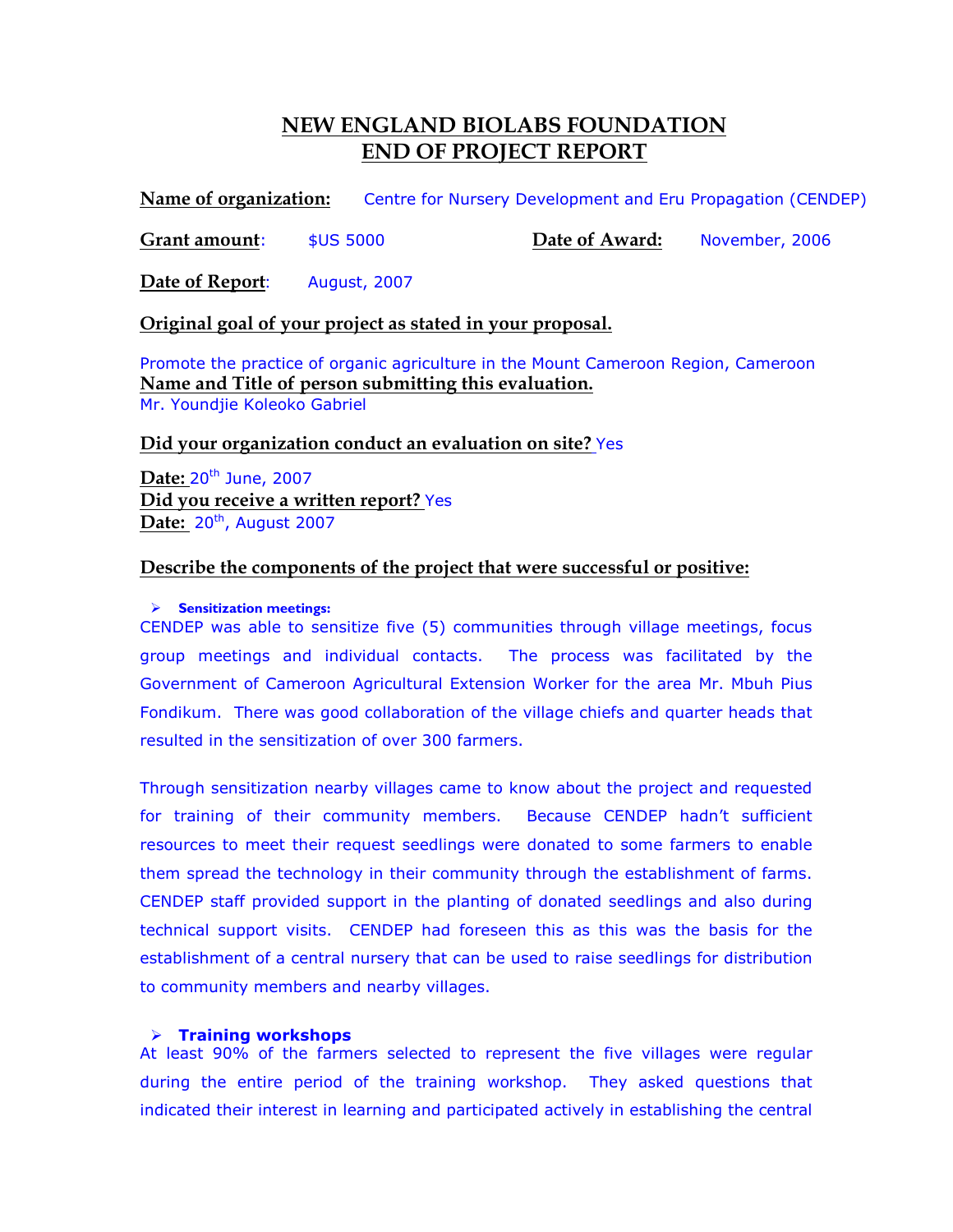# NEW ENGLAND BIOLABS FOUNDATION END OF PROJECT REPORT

Name of organization: Centre for Nursery Development and Eru Propagation (CENDEP)

Grant amount: \$US 5000 Date of Award: November, 2006

Date of Report: August, 2007

## Original goal of your project as stated in your proposal.

Promote the practice of organic agriculture in the Mount Cameroon Region, Cameroon Name and Title of person submitting this evaluation. Mr. Youndjie Koleoko Gabriel

## Did your organization conduct an evaluation on site? Yes

Date: 20<sup>th</sup> June, 2007 Did you receive a written report? Yes Date:  $20^{th}$ , August 2007

## Describe the components of the project that were successful or positive:

### $\triangleright$  Sensitization meetings:

CENDEP was able to sensitize five (5) communities through village meetings, focus group meetings and individual contacts. The process was facilitated by the Government of Cameroon Agricultural Extension Worker for the area Mr. Mbuh Pius Fondikum. There was good collaboration of the village chiefs and quarter heads that resulted in the sensitization of over 300 farmers.

Through sensitization nearby villages came to know about the project and requested for training of their community members. Because CENDEP hadn't sufficient resources to meet their request seedlings were donated to some farmers to enable them spread the technology in their community through the establishment of farms. CENDEP staff provided support in the planting of donated seedlings and also during technical support visits. CENDEP had foreseen this as this was the basis for the establishment of a central nursery that can be used to raise seedlings for distribution to community members and nearby villages.

#### $\triangleright$  Training workshops

At least 90% of the farmers selected to represent the five villages were regular during the entire period of the training workshop. They asked questions that indicated their interest in learning and participated actively in establishing the central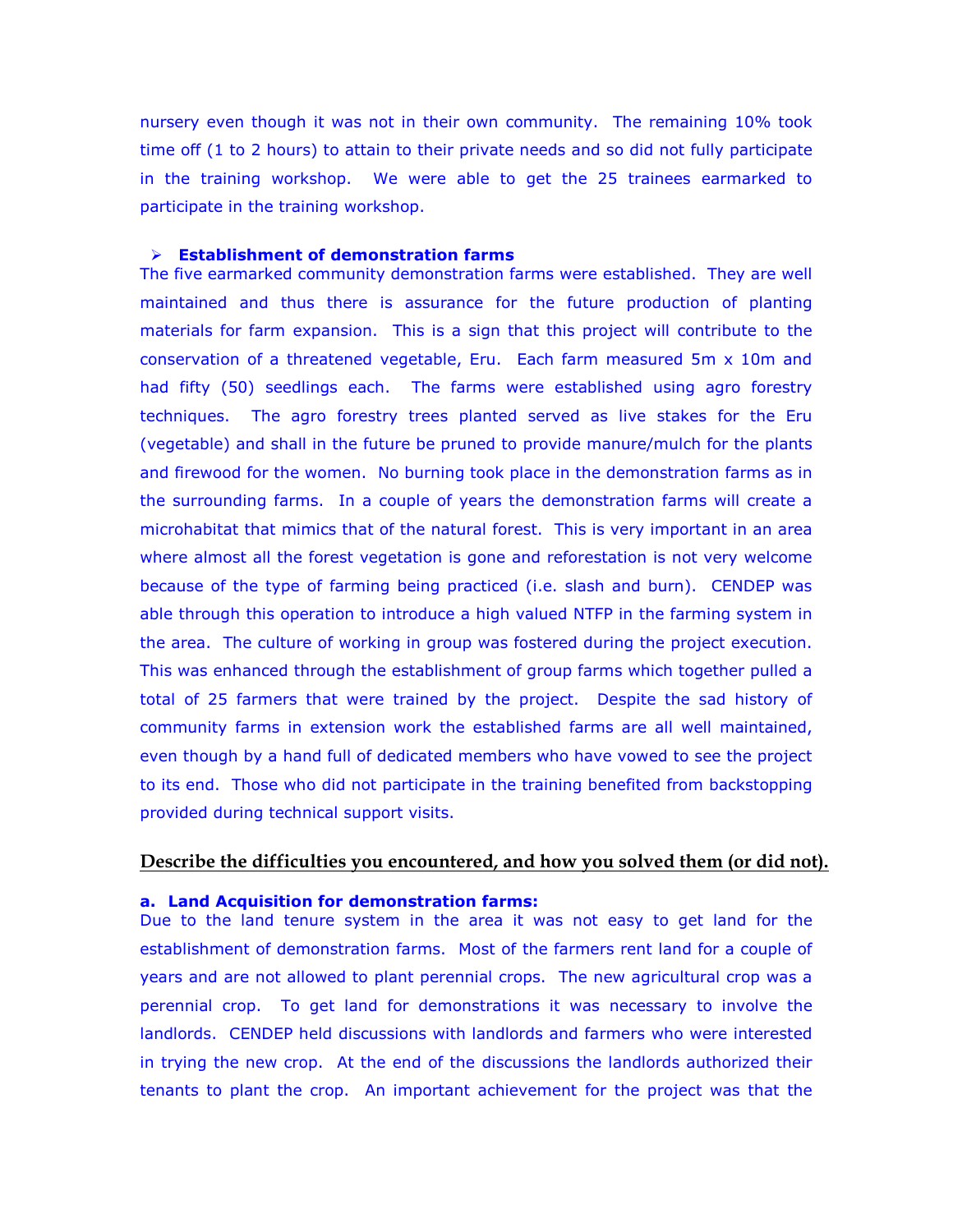nursery even though it was not in their own community. The remaining 10% took time off (1 to 2 hours) to attain to their private needs and so did not fully participate in the training workshop. We were able to get the 25 trainees earmarked to participate in the training workshop.

#### $\triangleright$  Establishment of demonstration farms

The five earmarked community demonstration farms were established. They are well maintained and thus there is assurance for the future production of planting materials for farm expansion. This is a sign that this project will contribute to the conservation of a threatened vegetable, Eru. Each farm measured 5m x 10m and had fifty (50) seedlings each. The farms were established using agro forestry techniques. The agro forestry trees planted served as live stakes for the Eru (vegetable) and shall in the future be pruned to provide manure/mulch for the plants and firewood for the women. No burning took place in the demonstration farms as in the surrounding farms. In a couple of years the demonstration farms will create a microhabitat that mimics that of the natural forest. This is very important in an area where almost all the forest vegetation is gone and reforestation is not very welcome because of the type of farming being practiced (i.e. slash and burn). CENDEP was able through this operation to introduce a high valued NTFP in the farming system in the area. The culture of working in group was fostered during the project execution. This was enhanced through the establishment of group farms which together pulled a total of 25 farmers that were trained by the project. Despite the sad history of community farms in extension work the established farms are all well maintained, even though by a hand full of dedicated members who have vowed to see the project to its end. Those who did not participate in the training benefited from backstopping provided during technical support visits.

#### Describe the difficulties you encountered, and how you solved them (or did not).

#### a. Land Acquisition for demonstration farms:

Due to the land tenure system in the area it was not easy to get land for the establishment of demonstration farms. Most of the farmers rent land for a couple of years and are not allowed to plant perennial crops. The new agricultural crop was a perennial crop. To get land for demonstrations it was necessary to involve the landlords. CENDEP held discussions with landlords and farmers who were interested in trying the new crop. At the end of the discussions the landlords authorized their tenants to plant the crop. An important achievement for the project was that the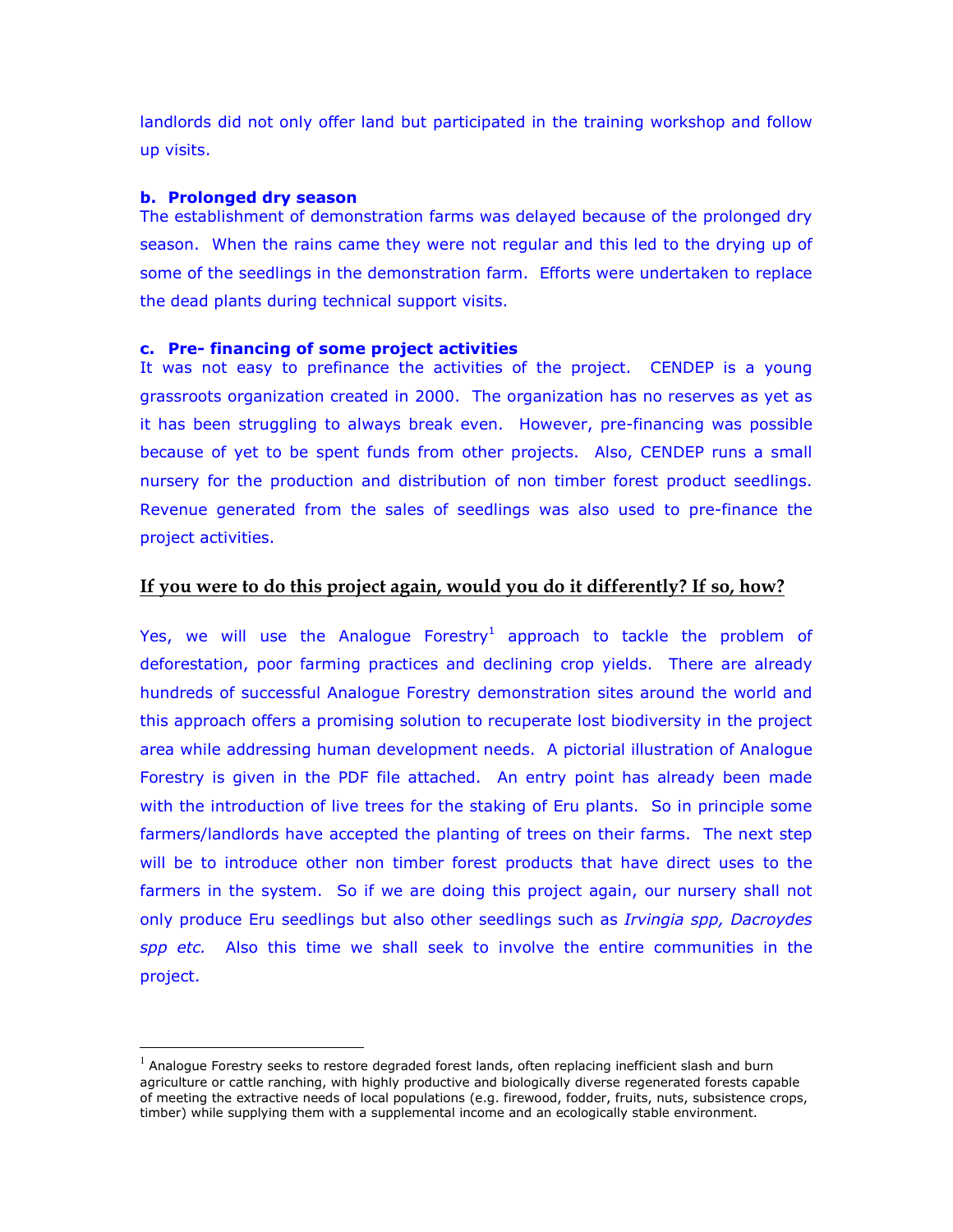landlords did not only offer land but participated in the training workshop and follow up visits.

#### b. Prolonged dry season

 $\overline{a}$ 

The establishment of demonstration farms was delayed because of the prolonged dry season. When the rains came they were not regular and this led to the drying up of some of the seedlings in the demonstration farm. Efforts were undertaken to replace the dead plants during technical support visits.

#### c. Pre- financing of some project activities

It was not easy to prefinance the activities of the project. CENDEP is a young grassroots organization created in 2000. The organization has no reserves as yet as it has been struggling to always break even. However, pre-financing was possible because of yet to be spent funds from other projects. Also, CENDEP runs a small nursery for the production and distribution of non timber forest product seedlings. Revenue generated from the sales of seedlings was also used to pre-finance the project activities.

## If you were to do this project again, would you do it differently? If so, how?

Yes, we will use the Analogue Forestry<sup>1</sup> approach to tackle the problem of deforestation, poor farming practices and declining crop yields. There are already hundreds of successful Analogue Forestry demonstration sites around the world and this approach offers a promising solution to recuperate lost biodiversity in the project area while addressing human development needs. A pictorial illustration of Analogue Forestry is given in the PDF file attached. An entry point has already been made with the introduction of live trees for the staking of Eru plants. So in principle some farmers/landlords have accepted the planting of trees on their farms. The next step will be to introduce other non timber forest products that have direct uses to the farmers in the system. So if we are doing this project again, our nursery shall not only produce Eru seedlings but also other seedlings such as *Irvingia spp, Dacroydes* spp etc. Also this time we shall seek to involve the entire communities in the project.

 $^1$  Analogue Forestry seeks to restore degraded forest lands, often replacing inefficient slash and burn agriculture or cattle ranching, with highly productive and biologically diverse regenerated forests capable of meeting the extractive needs of local populations (e.g. firewood, fodder, fruits, nuts, subsistence crops, timber) while supplying them with a supplemental income and an ecologically stable environment.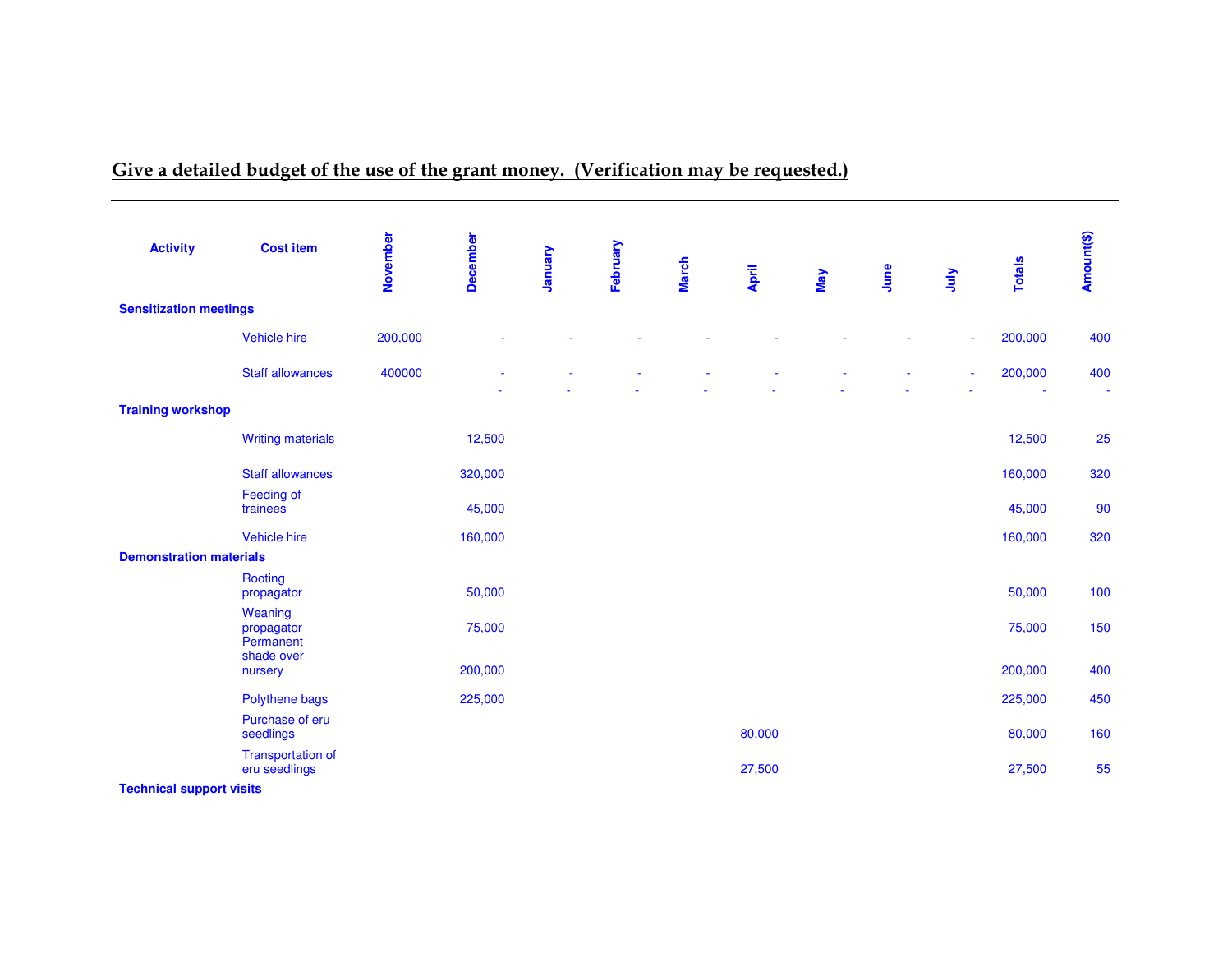# Give a detailed budget of the use of the grant money. (Verification may be requested.)

| <b>Activity</b>                        | <b>Cost item</b>                          | November | <b>December</b> | January | February |              |        |            |      |      |               | Amount(\$)               |
|----------------------------------------|-------------------------------------------|----------|-----------------|---------|----------|--------------|--------|------------|------|------|---------------|--------------------------|
|                                        |                                           |          |                 |         |          | <b>March</b> | April  | <b>May</b> | June | ylnr | <b>Totals</b> |                          |
| <b>Sensitization meetings</b>          |                                           |          |                 |         |          |              |        |            |      |      |               |                          |
|                                        | Vehicle hire                              | 200,000  |                 |         |          |              |        |            |      |      | 200,000       | 400                      |
|                                        | <b>Staff allowances</b>                   | 400000   |                 |         |          |              |        |            |      |      | 200,000       | 400                      |
| <b>Training workshop</b>               |                                           |          |                 |         |          |              |        |            |      |      |               | $\overline{\phantom{a}}$ |
|                                        | <b>Writing materials</b>                  |          | 12,500          |         |          |              |        |            |      |      | 12,500        | 25                       |
|                                        | <b>Staff allowances</b>                   |          | 320,000         |         |          |              |        |            |      |      | 160,000       | 320                      |
|                                        | Feeding of<br>trainees                    |          | 45,000          |         |          |              |        |            |      |      | 45,000        | 90                       |
|                                        | Vehicle hire                              |          | 160,000         |         |          |              |        |            |      |      | 160,000       | 320                      |
| <b>Demonstration materials</b>         |                                           |          |                 |         |          |              |        |            |      |      |               |                          |
|                                        | Rooting<br>propagator                     |          | 50,000          |         |          |              |        |            |      |      | 50,000        | 100                      |
|                                        | Weaning<br>propagator<br>Permanent        |          | 75,000          |         |          |              |        |            |      |      | 75,000        | 150                      |
|                                        | shade over<br>nursery                     |          | 200,000         |         |          |              |        |            |      |      | 200,000       | 400                      |
|                                        | Polythene bags                            |          | 225,000         |         |          |              |        |            |      |      | 225,000       | 450                      |
|                                        | Purchase of eru<br>seedlings              |          |                 |         |          |              | 80,000 |            |      |      | 80,000        | 160                      |
| The advantaged construction of a final | <b>Transportation of</b><br>eru seedlings |          |                 |         |          |              | 27,500 |            |      |      | 27,500        | 55                       |

**Technical support visits**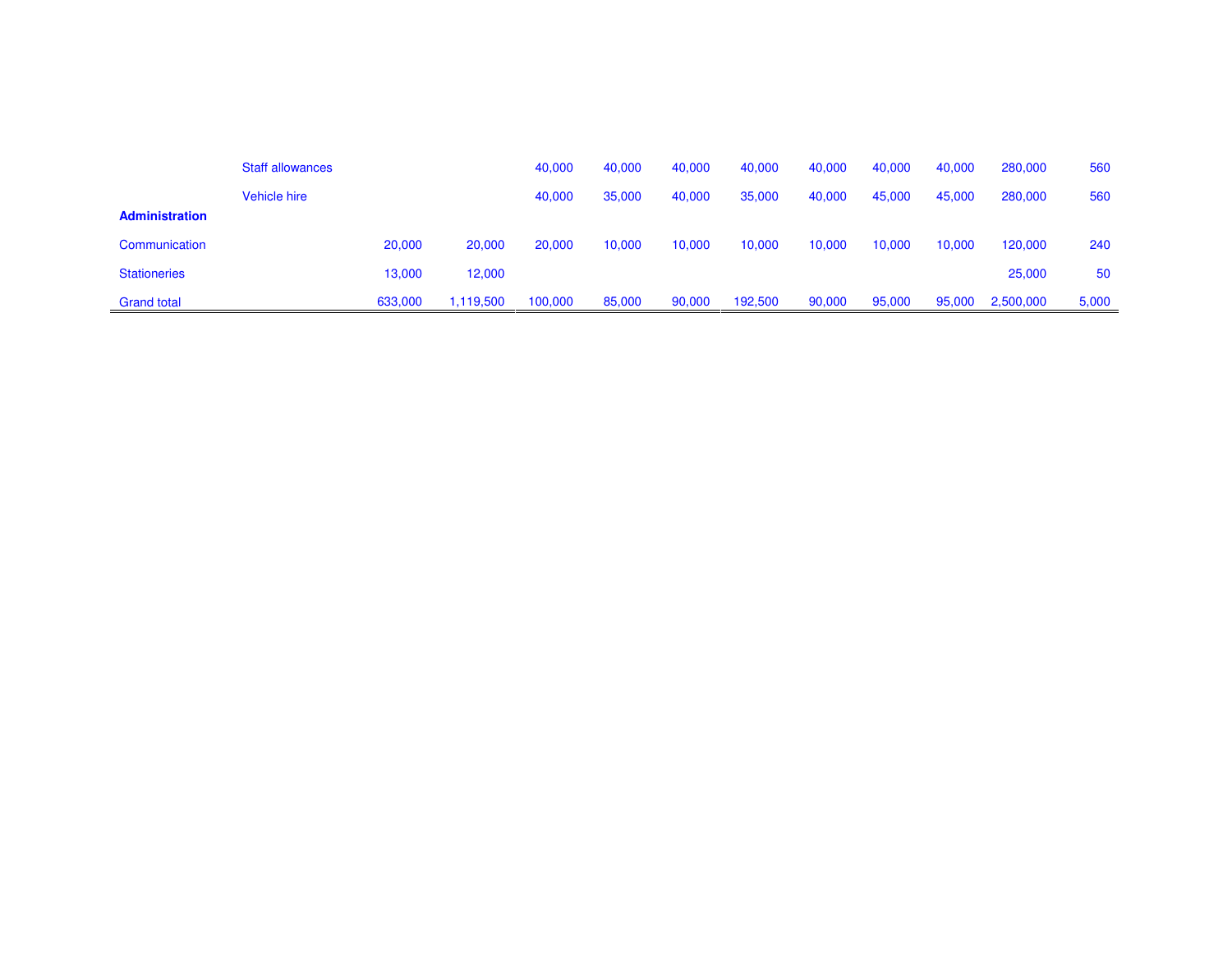|                       | <b>Staff allowances</b> |         |           | 40,000  | 40,000 | 40,000 | 40,000  | 40,000 | 40,000 | 40,000 | 280,000   | 560   |
|-----------------------|-------------------------|---------|-----------|---------|--------|--------|---------|--------|--------|--------|-----------|-------|
|                       | Vehicle hire            |         |           | 40,000  | 35,000 | 40,000 | 35,000  | 40,000 | 45,000 | 45,000 | 280,000   | 560   |
| <b>Administration</b> |                         |         |           |         |        |        |         |        |        |        |           |       |
| Communication         |                         | 20,000  | 20,000    | 20,000  | 10,000 | 10,000 | 10,000  | 10,000 | 10,000 | 10,000 | 120,000   | 240   |
| <b>Stationeries</b>   |                         | 13,000  | 12,000    |         |        |        |         |        |        |        | 25,000    | 50    |
| <b>Grand total</b>    |                         | 633,000 | 1,119,500 | 100,000 | 85,000 | 90,000 | 192,500 | 90,000 | 95,000 | 95,000 | 2,500,000 | 5,000 |